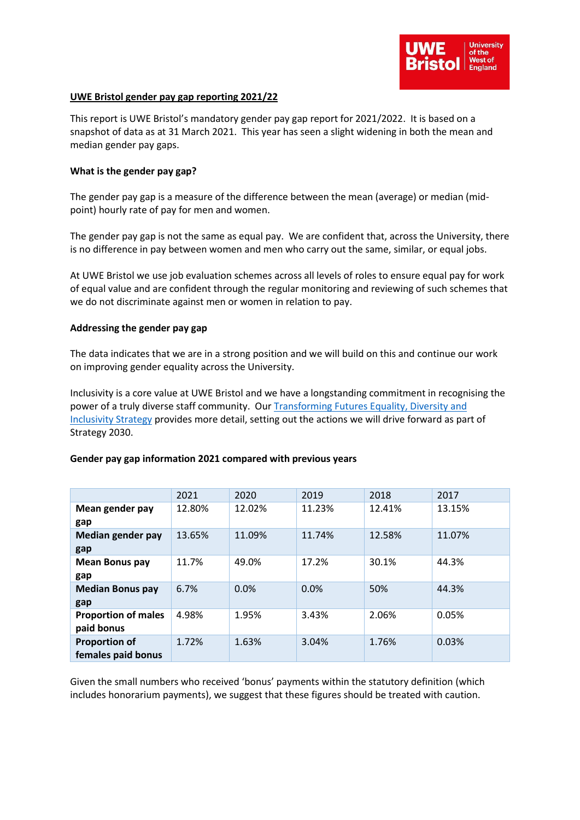

# **UWE Bristol gender pay gap reporting 2021/22**

This report is UWE Bristol's mandatory gender pay gap report for 2021/2022. It is based on a snapshot of data as at 31 March 2021. This year has seen a slight widening in both the mean and median gender pay gaps.

### **What is the gender pay gap?**

The gender pay gap is a measure of the difference between the mean (average) or median (midpoint) hourly rate of pay for men and women.

The gender pay gap is not the same as equal pay. We are confident that, across the University, there is no difference in pay between women and men who carry out the same, similar, or equal jobs.

At UWE Bristol we use job evaluation schemes across all levels of roles to ensure equal pay for work of equal value and are confident through the regular monitoring and reviewing of such schemes that we do not discriminate against men or women in relation to pay.

#### **Addressing the gender pay gap**

The data indicates that we are in a strong position and we will build on this and continue our work on improving gender equality across the University.

Inclusivity is a core value at UWE Bristol and we have a longstanding commitment in recognising the power of a truly diverse staff community. Our [Transforming Futures Equality, Diversity and](https://intranet.uwe.ac.uk/about-uwe-bristol/our-strategy/Pages/default.aspx)  [Inclusivity Strategy](https://intranet.uwe.ac.uk/about-uwe-bristol/our-strategy/Pages/default.aspx) provides more detail, setting out the actions we will drive forward as part of Strategy 2030.

## **Gender pay gap information 2021 compared with previous years**

|                                            | 2021   | 2020   | 2019   | 2018   | 2017   |  |
|--------------------------------------------|--------|--------|--------|--------|--------|--|
| Mean gender pay<br>gap                     | 12.80% | 12.02% | 11.23% | 12.41% | 13.15% |  |
| Median gender pay<br>gap                   | 13.65% | 11.09% | 11.74% | 12.58% | 11.07% |  |
| <b>Mean Bonus pay</b><br>gap               | 11.7%  | 49.0%  | 17.2%  | 30.1%  | 44.3%  |  |
| <b>Median Bonus pay</b><br>gap             | 6.7%   | 0.0%   | 0.0%   | 50%    | 44.3%  |  |
| <b>Proportion of males</b><br>paid bonus   | 4.98%  | 1.95%  | 3.43%  | 2.06%  | 0.05%  |  |
| <b>Proportion of</b><br>females paid bonus | 1.72%  | 1.63%  | 3.04%  | 1.76%  | 0.03%  |  |

Given the small numbers who received 'bonus' payments within the statutory definition (which includes honorarium payments), we suggest that these figures should be treated with caution.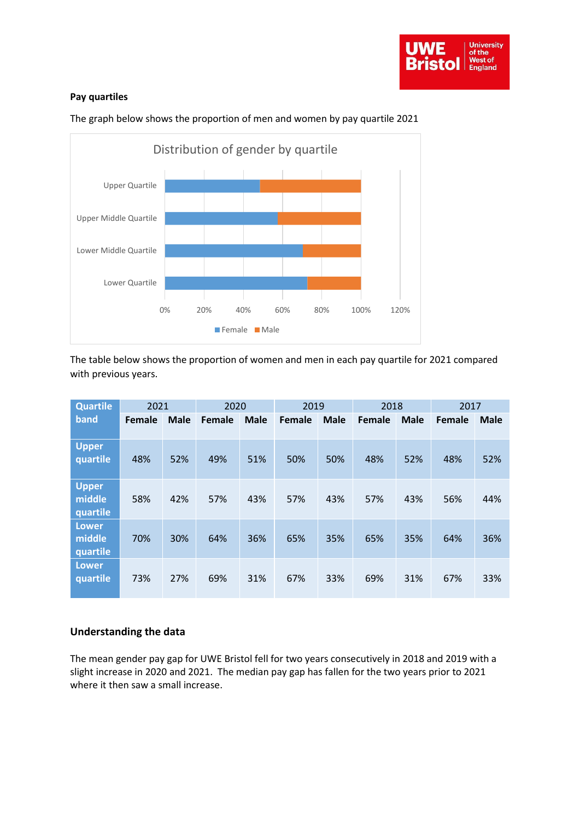# **Pay quartiles**



The graph below shows the proportion of men and women by pay quartile 2021

The table below shows the proportion of women and men in each pay quartile for 2021 compared with previous years.

| <b>Quartile</b>                    | 2021   |             | 2020   |             | 2019   |             | 2018   |             | 2017   |             |
|------------------------------------|--------|-------------|--------|-------------|--------|-------------|--------|-------------|--------|-------------|
| band                               | Female | <b>Male</b> | Female | <b>Male</b> | Female | <b>Male</b> | Female | <b>Male</b> | Female | <b>Male</b> |
| <b>Upper</b><br>quartile           | 48%    | 52%         | 49%    | 51%         | 50%    | 50%         | 48%    | 52%         | 48%    | 52%         |
| <b>Upper</b><br>middle<br>quartile | 58%    | 42%         | 57%    | 43%         | 57%    | 43%         | 57%    | 43%         | 56%    | 44%         |
| <b>Lower</b><br>middle<br>quartile | 70%    | 30%         | 64%    | 36%         | 65%    | 35%         | 65%    | 35%         | 64%    | 36%         |
| <b>Lower</b><br>quartile           | 73%    | 27%         | 69%    | 31%         | 67%    | 33%         | 69%    | 31%         | 67%    | 33%         |

# **Understanding the data**

The mean gender pay gap for UWE Bristol fell for two years consecutively in 2018 and 2019 with a slight increase in 2020 and 2021. The median pay gap has fallen for the two years prior to 2021 where it then saw a small increase.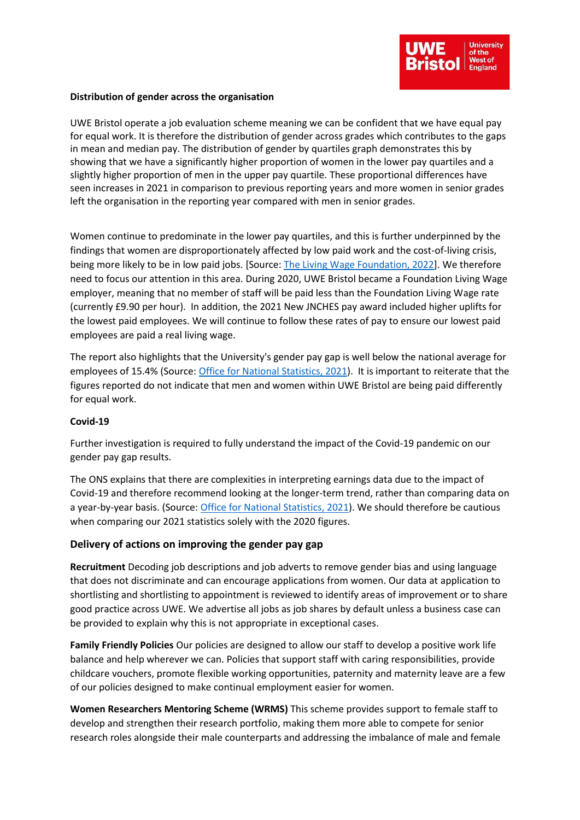

### **Distribution of gender across the organisation**

UWE Bristol operate a job evaluation scheme meaning we can be confident that we have equal pay for equal work. It is therefore the distribution of gender across grades which contributes to the gaps in mean and median pay. The distribution of gender by quartiles graph demonstrates this by showing that we have a significantly higher proportion of women in the lower pay quartiles and a slightly higher proportion of men in the upper pay quartile. These proportional differences have seen increases in 2021 in comparison to previous reporting years and more women in senior grades left the organisation in the reporting year compared with men in senior grades.

Women continue to predominate in the lower pay quartiles, and this is further underpinned by the findings that women are disproportionately affected by low paid work and the cost-of-living crisis, being more likely to be in low paid jobs. [Source: [The Living Wage Foundation, 2022\]](https://www.livingwage.org.uk/news/cost-living-crisis-affecting-women). We therefore need to focus our attention in this area. During 2020, UWE Bristol became a Foundation Living Wage employer, meaning that no member of staff will be paid less than the Foundation Living Wage rate (currently £9.90 per hour). In addition, the 2021 New JNCHES pay award included higher uplifts for the lowest paid employees. We will continue to follow these rates of pay to ensure our lowest paid employees are paid a real living wage.

The report also highlights that the University's gender pay gap is well below the national average for employees of 15.4% (Source: [Office for National Statistics, 2021\)](https://www.ons.gov.uk/employmentandlabourmarket/peopleinwork/earningsandworkinghours/bulletins/genderpaygapintheuk/2021#:~:text=Among%20all%20employees%2C%20the%20gender,down%20from%2017.4%25%20in%202019.). It is important to reiterate that the figures reported do not indicate that men and women within UWE Bristol are being paid differently for equal work.

## **Covid-19**

Further investigation is required to fully understand the impact of the Covid-19 pandemic on our gender pay gap results.

The ONS explains that there are complexities in interpreting earnings data due to the impact of Covid-19 and therefore recommend looking at the longer-term trend, rather than comparing data on a year-by-year basis. (Source[: Office for National Statistics,](https://www.ons.gov.uk/employmentandlabourmarket/peopleinwork/earningsandworkinghours/bulletins/genderpaygapintheuk/2021#:~:text=Among%20all%20employees%2C%20the%20gender,down%20from%2017.4%25%20in%202019.) 2021). We should therefore be cautious when comparing our 2021 statistics solely with the 2020 figures.

## **Delivery of actions on improving the gender pay gap**

**Recruitment** Decoding job descriptions and job adverts to remove gender bias and using language that does not discriminate and can encourage applications from women. Our data at application to shortlisting and shortlisting to appointment is reviewed to identify areas of improvement or to share good practice across UWE. We advertise all jobs as job shares by default unless a business case can be provided to explain why this is not appropriate in exceptional cases.

**Family Friendly Policies** Our policies are designed to allow our staff to develop a positive work life balance and help wherever we can. Policies that support staff with caring responsibilities, provide childcare vouchers, promote flexible working opportunities, paternity and maternity leave are a few of our policies designed to make continual employment easier for women.

**Women Researchers Mentoring Scheme (WRMS)** This scheme provides support to female staff to develop and strengthen their research portfolio, making them more able to compete for senior research roles alongside their male counterparts and addressing the imbalance of male and female